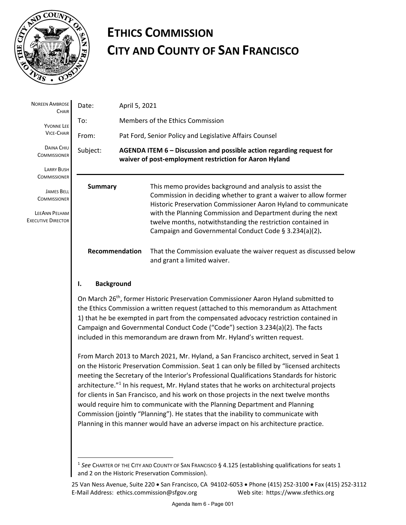

# **ETHICS COMMISSION CITY AND COUNTY OF SAN FRANCISCO**

| <b>NOREEN AMBROSE</b><br><b>CHAIR</b>                                                  | Date:          | April 5, 2021                                                                                                                  |                                                                                                                                                                                                                                                                                                                                                                                       |
|----------------------------------------------------------------------------------------|----------------|--------------------------------------------------------------------------------------------------------------------------------|---------------------------------------------------------------------------------------------------------------------------------------------------------------------------------------------------------------------------------------------------------------------------------------------------------------------------------------------------------------------------------------|
| <b>YVONNE LEE</b><br><b>VICE-CHAIR</b>                                                 | To:            | Members of the Ethics Commission                                                                                               |                                                                                                                                                                                                                                                                                                                                                                                       |
|                                                                                        | From:          | Pat Ford, Senior Policy and Legislative Affairs Counsel                                                                        |                                                                                                                                                                                                                                                                                                                                                                                       |
| DAINA CHIU<br><b>COMMISSIONER</b>                                                      | Subject:       | AGENDA ITEM 6 – Discussion and possible action regarding request for<br>waiver of post-employment restriction for Aaron Hyland |                                                                                                                                                                                                                                                                                                                                                                                       |
| <b>LARRY BUSH</b><br><b>COMMISSIONER</b>                                               |                |                                                                                                                                |                                                                                                                                                                                                                                                                                                                                                                                       |
| <b>JAMES BELL</b><br><b>COMMISSIONER</b><br>LEEANN PELHAM<br><b>EXECUTIVE DIRECTOR</b> | <b>Summary</b> |                                                                                                                                | This memo provides background and analysis to assist the<br>Commission in deciding whether to grant a waiver to allow former<br>Historic Preservation Commissioner Aaron Hyland to communicate<br>with the Planning Commission and Department during the next<br>twelve months, notwithstanding the restriction contained in<br>Campaign and Governmental Conduct Code § 3.234(a)(2). |
|                                                                                        | Recommendation |                                                                                                                                | That the Commission evaluate the waiver request as discussed below<br>and grant a limited waiver.                                                                                                                                                                                                                                                                                     |

#### **I. Background**

On March 26<sup>th</sup>, former Historic Preservation Commissioner Aaron Hyland submitted to the Ethics Commission a written request (attached to this memorandum as Attachment 1) that he be exempted in part from the compensated advocacy restriction contained in Campaign and Governmental Conduct Code ("Code") section 3.234(a)(2). The facts included in this memorandum are drawn from Mr. Hyland's written request.

From March 2013 to March 2021, Mr. Hyland, a San Francisco architect, served in Seat 1 on the Historic Preservation Commission. Seat 1 can only be filled by "licensed architects meeting the Secretary of the Interior's Professional Qualifications Standards for historic architecture."<sup>1</sup> In his request, Mr. Hyland states that he works on architectural projects for clients in San Francisco, and his work on those projects in the next twelve months would require him to communicate with the Planning Department and Planning Commission (jointly "Planning"). He states that the inability to communicate with Planning in this manner would have an adverse impact on his architecture practice.

<sup>1</sup> *See* CHARTER OF THE CITY AND COUNTY OF SAN FRANCISCO § 4.125 (establishing qualifications for seats 1 and 2 on the Historic Preservation Commission).

<sup>25</sup> Van Ness Avenue, Suite 220 • San Francisco, CA 94102-6053 • Phone (415) 252-3100 • Fax (415) 252-3112 E-Mail Address: ethics.commission@sfgov.org Web site: https://www.sfethics.org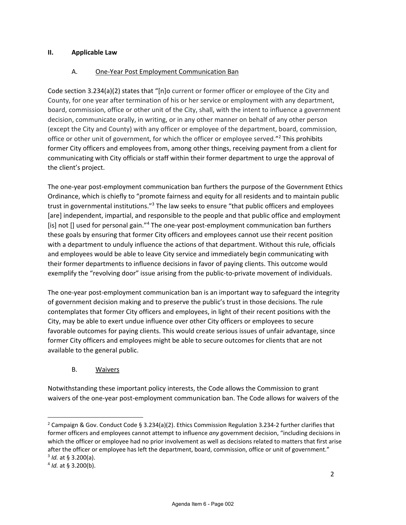#### **II. Applicable Law**

#### A. One-Year Post Employment Communication Ban

Code section 3.234(a)(2) states that "[n]o current or former officer or employee of the City and County, for one year after termination of his or her service or employment with any department, board, commission, office or other unit of the City, shall, with the intent to influence a government decision, communicate orally, in writing, or in any other manner on behalf of any other person (except the City and County) with any officer or employee of the department, board, commission, office or other unit of government, for which the officer or employee served."<sup>2</sup> This prohibits former City officers and employees from, among other things, receiving payment from a client for communicating with City officials or staff within their former department to urge the approval of the client's project.

The one-year post-employment communication ban furthers the purpose of the Government Ethics Ordinance, which is chiefly to "promote fairness and equity for all residents and to maintain public trust in governmental institutions."<sup>3</sup> The law seeks to ensure "that public officers and employees [are] independent, impartial, and responsible to the people and that public office and employment [is] not [] used for personal gain."<sup>4</sup> The one-year post-employment communication ban furthers these goals by ensuring that former City officers and employees cannot use their recent position with a department to unduly influence the actions of that department. Without this rule, officials and employees would be able to leave City service and immediately begin communicating with their former departments to influence decisions in favor of paying clients. This outcome would exemplify the "revolving door" issue arising from the public-to-private movement of individuals.

The one-year post-employment communication ban is an important way to safeguard the integrity of government decision making and to preserve the public's trust in those decisions. The rule contemplates that former City officers and employees, in light of their recent positions with the City, may be able to exert undue influence over other City officers or employees to secure favorable outcomes for paying clients. This would create serious issues of unfair advantage, since former City officers and employees might be able to secure outcomes for clients that are not available to the general public.

#### B. Waivers

Notwithstanding these important policy interests, the Code allows the Commission to grant waivers of the one-year post-employment communication ban. The Code allows for waivers of the

<sup>&</sup>lt;sup>2</sup> Campaign & Gov. Conduct Code § 3.234(a)(2). Ethics Commission Regulation 3.234-2 further clarifies that former officers and employees cannot attempt to influence *any* government decision, "including decisions in which the officer or employee had no prior involvement as well as decisions related to matters that first arise after the officer or employee has left the department, board, commission, office or unit of government."

<sup>3</sup> *Id.* at § 3.200(a).

<sup>4</sup> *Id.* at § 3.200(b).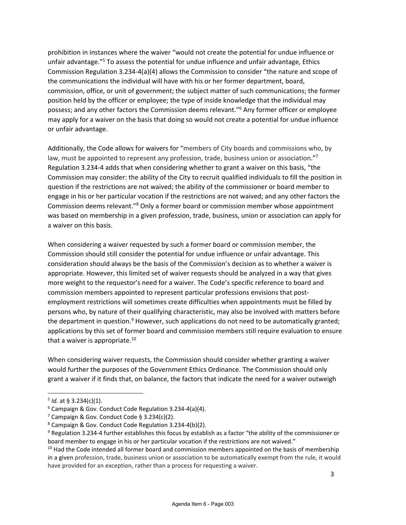prohibition in instances where the waiver "would not create the potential for undue influence or unfair advantage."<sup>5</sup> To assess the potential for undue influence and unfair advantage, Ethics Commission Regulation 3.234-4(a)(4) allows the Commission to consider "the nature and scope of the communications the individual will have with his or her former department, board, commission, office, or unit of government; the subject matter of such communications; the former position held by the officer or employee; the type of inside knowledge that the individual may possess; and any other factors the Commission deems relevant."<sup>6</sup> Any former officer or employee may apply for a waiver on the basis that doing so would not create a potential for undue influence or unfair advantage.

Additionally, the Code allows for waivers for "members of City boards and commissions who, by law, must be appointed to represent any profession, trade, business union or association."<sup>7</sup> Regulation 3.234-4 adds that when considering whether to grant a waiver on this basis, "the Commission may consider: the ability of the City to recruit qualified individuals to fill the position in question if the restrictions are not waived; the ability of the commissioner or board member to engage in his or her particular vocation if the restrictions are not waived; and any other factors the Commission deems relevant."<sup>8</sup> Only a former board or commission member whose appointment was based on membership in a given profession, trade, business, union or association can apply for a waiver on this basis.

When considering a waiver requested by such a former board or commission member, the Commission should still consider the potential for undue influence or unfair advantage. This consideration should always be the basis of the Commission's decision as to whether a waiver is appropriate. However, this limited set of waiver requests should be analyzed in a way that gives more weight to the requestor's need for a waiver. The Code's specific reference to board and commission members appointed to represent particular professions envisions that postemployment restrictions will sometimes create difficulties when appointments must be filled by persons who, by nature of their qualifying characteristic, may also be involved with matters before the department in question. $9$  However, such applications do not need to be automatically granted; applications by this set of former board and commission members still require evaluation to ensure that a waiver is appropriate.<sup>10</sup>

When considering waiver requests, the Commission should consider whether granting a waiver would further the purposes of the Government Ethics Ordinance. The Commission should only grant a waiver if it finds that, on balance, the factors that indicate the need for a waiver outweigh

<sup>5</sup> *Id.* at § 3.234(c)(1).

<sup>6</sup> Campaign & Gov. Conduct Code Regulation 3.234-4(a)(4).

<sup>&</sup>lt;sup>7</sup> Campaign & Gov. Conduct Code § 3.234(c)(2).

<sup>8</sup> Campaign & Gov. Conduct Code Regulation 3.234-4(b)(2).

<sup>&</sup>lt;sup>9</sup> Regulation 3.234-4 further establishes this focus by establish as a factor "the ability of the commissioner or board member to engage in his or her particular vocation if the restrictions are not waived."

 $10$  Had the Code intended all former board and commission members appointed on the basis of membership in a given profession, trade, business union or association to be automatically exempt from the rule, it would have provided for an exception, rather than a process for requesting a waiver.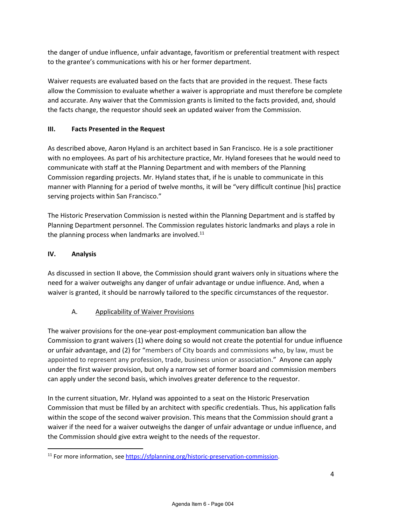the danger of undue influence, unfair advantage, favoritism or preferential treatment with respect to the grantee's communications with his or her former department.

Waiver requests are evaluated based on the facts that are provided in the request. These facts allow the Commission to evaluate whether a waiver is appropriate and must therefore be complete and accurate. Any waiver that the Commission grants is limited to the facts provided, and, should the facts change, the requestor should seek an updated waiver from the Commission.

#### **III. Facts Presented in the Request**

As described above, Aaron Hyland is an architect based in San Francisco. He is a sole practitioner with no employees. As part of his architecture practice, Mr. Hyland foresees that he would need to communicate with staff at the Planning Department and with members of the Planning Commission regarding projects. Mr. Hyland states that, if he is unable to communicate in this manner with Planning for a period of twelve months, it will be "very difficult continue [his] practice serving projects within San Francisco."

The Historic Preservation Commission is nested within the Planning Department and is staffed by Planning Department personnel. The Commission regulates historic landmarks and plays a role in the planning process when landmarks are involved. $^{11}$ 

#### **IV. Analysis**

As discussed in section II above, the Commission should grant waivers only in situations where the need for a waiver outweighs any danger of unfair advantage or undue influence. And, when a waiver is granted, it should be narrowly tailored to the specific circumstances of the requestor.

#### A. Applicability of Waiver Provisions

The waiver provisions for the one-year post-employment communication ban allow the Commission to grant waivers (1) where doing so would not create the potential for undue influence or unfair advantage, and (2) for "members of City boards and commissions who, by law, must be appointed to represent any profession, trade, business union or association." Anyone can apply under the first waiver provision, but only a narrow set of former board and commission members can apply under the second basis, which involves greater deference to the requestor.

In the current situation, Mr. Hyland was appointed to a seat on the Historic Preservation Commission that must be filled by an architect with specific credentials. Thus, his application falls within the scope of the second waiver provision. This means that the Commission should grant a waiver if the need for a waiver outweighs the danger of unfair advantage or undue influence, and the Commission should give extra weight to the needs of the requestor.

<sup>&</sup>lt;sup>11</sup> For more information, see https://sfplanning.org/historic-preservation-commission.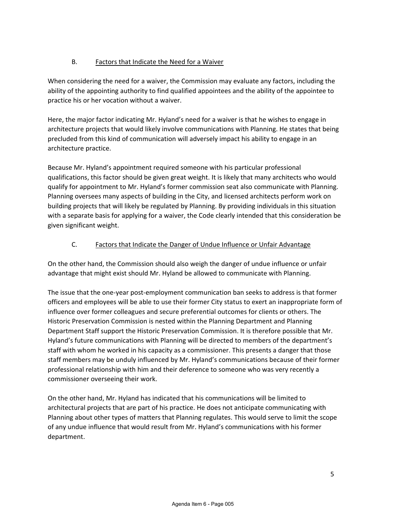## B. Factors that Indicate the Need for a Waiver

When considering the need for a waiver, the Commission may evaluate any factors, including the ability of the appointing authority to find qualified appointees and the ability of the appointee to practice his or her vocation without a waiver.

Here, the major factor indicating Mr. Hyland's need for a waiver is that he wishes to engage in architecture projects that would likely involve communications with Planning. He states that being precluded from this kind of communication will adversely impact his ability to engage in an architecture practice.

Because Mr. Hyland's appointment required someone with his particular professional qualifications, this factor should be given great weight. It is likely that many architects who would qualify for appointment to Mr. Hyland's former commission seat also communicate with Planning. Planning oversees many aspects of building in the City, and licensed architects perform work on building projects that will likely be regulated by Planning. By providing individuals in this situation with a separate basis for applying for a waiver, the Code clearly intended that this consideration be given significant weight.

### C. Factors that Indicate the Danger of Undue Influence or Unfair Advantage

On the other hand, the Commission should also weigh the danger of undue influence or unfair advantage that might exist should Mr. Hyland be allowed to communicate with Planning.

The issue that the one-year post-employment communication ban seeks to address is that former officers and employees will be able to use their former City status to exert an inappropriate form of influence over former colleagues and secure preferential outcomes for clients or others. The Historic Preservation Commission is nested within the Planning Department and Planning Department Staff support the Historic Preservation Commission. It is therefore possible that Mr. Hyland's future communications with Planning will be directed to members of the department's staff with whom he worked in his capacity as a commissioner. This presents a danger that those staff members may be unduly influenced by Mr. Hyland's communications because of their former professional relationship with him and their deference to someone who was very recently a commissioner overseeing their work.

On the other hand, Mr. Hyland has indicated that his communications will be limited to architectural projects that are part of his practice. He does not anticipate communicating with Planning about other types of matters that Planning regulates. This would serve to limit the scope of any undue influence that would result from Mr. Hyland's communications with his former department.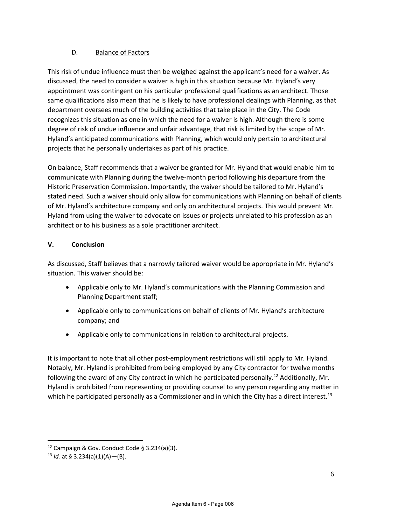#### D. Balance of Factors

This risk of undue influence must then be weighed against the applicant's need for a waiver. As discussed, the need to consider a waiver is high in this situation because Mr. Hyland's very appointment was contingent on his particular professional qualifications as an architect. Those same qualifications also mean that he is likely to have professional dealings with Planning, as that department oversees much of the building activities that take place in the City. The Code recognizes this situation as one in which the need for a waiver is high. Although there is some degree of risk of undue influence and unfair advantage, that risk is limited by the scope of Mr. Hyland's anticipated communications with Planning, which would only pertain to architectural projects that he personally undertakes as part of his practice.

On balance, Staff recommends that a waiver be granted for Mr. Hyland that would enable him to communicate with Planning during the twelve-month period following his departure from the Historic Preservation Commission. Importantly, the waiver should be tailored to Mr. Hyland's stated need. Such a waiver should only allow for communications with Planning on behalf of clients of Mr. Hyland's architecture company and only on architectural projects. This would prevent Mr. Hyland from using the waiver to advocate on issues or projects unrelated to his profession as an architect or to his business as a sole practitioner architect.

#### **V. Conclusion**

As discussed, Staff believes that a narrowly tailored waiver would be appropriate in Mr. Hyland's situation. This waiver should be:

- Applicable only to Mr. Hyland's communications with the Planning Commission and Planning Department staff;
- Applicable only to communications on behalf of clients of Mr. Hyland's architecture company; and
- Applicable only to communications in relation to architectural projects.

It is important to note that all other post-employment restrictions will still apply to Mr. Hyland. Notably, Mr. Hyland is prohibited from being employed by any City contractor for twelve months following the award of any City contract in which he participated personally.<sup>12</sup> Additionally, Mr. Hyland is prohibited from representing or providing counsel to any person regarding any matter in which he participated personally as a Commissioner and in which the City has a direct interest.<sup>13</sup>

<sup>12</sup> Campaign & Gov. Conduct Code § 3.234(a)(3).

 $13$  *Id.* at § 3.234(a)(1)(A)–(B).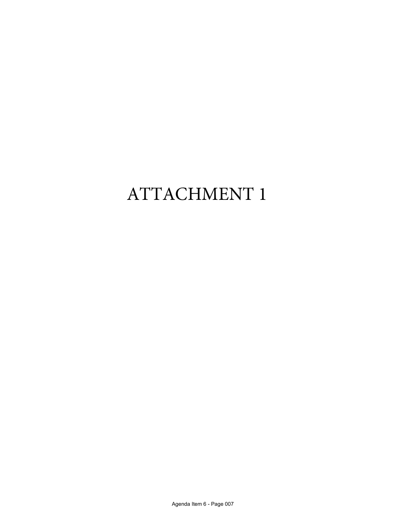# ATTACHMENT 1